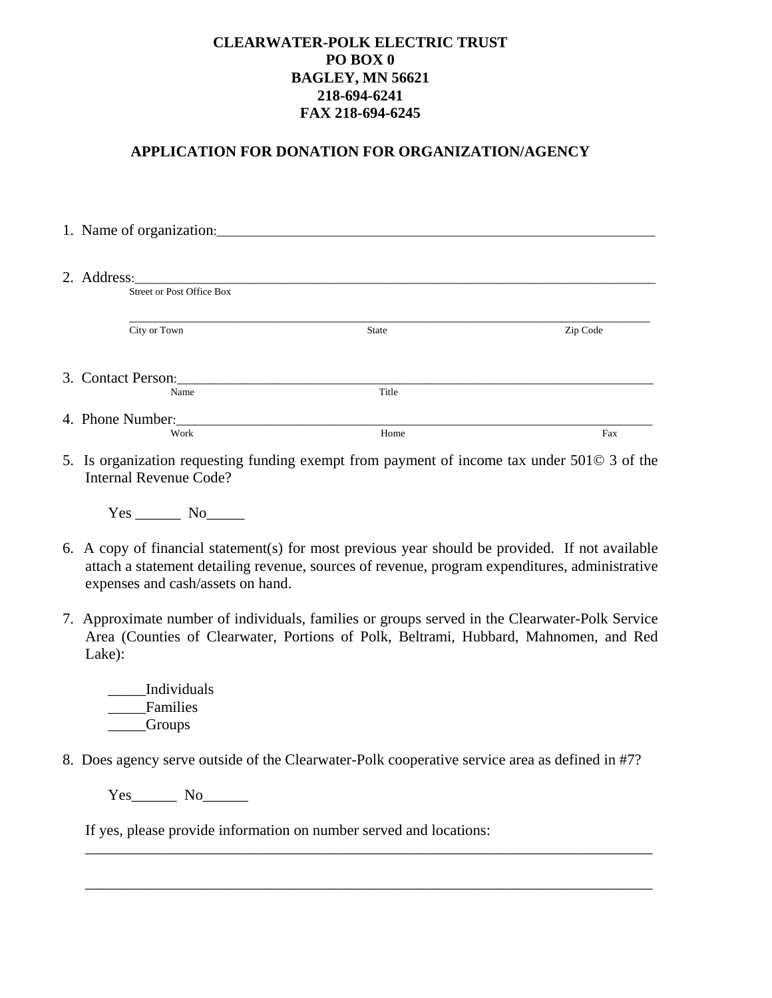## **CLEARWATER-POLK ELECTRIC TRUST PO BOX 0 BAGLEY, MN 56621 218-694-6241 FAX 218-694-6245**

## **APPLICATION FOR DONATION FOR ORGANIZATION/AGENCY**

|  | 1. Name of organization:         |              |          |
|--|----------------------------------|--------------|----------|
|  |                                  |              |          |
|  |                                  |              |          |
|  |                                  |              |          |
|  | <b>Street or Post Office Box</b> |              |          |
|  |                                  |              |          |
|  | City or Town                     | <b>State</b> | Zip Code |
|  |                                  |              |          |
|  |                                  |              |          |
|  | 3. Contact Person:               |              |          |
|  | Name                             | Title        |          |
|  |                                  |              |          |
|  | 4. Phone Number:                 |              |          |
|  | Work                             | Home         | Fax      |

5. Is organization requesting funding exempt from payment of income tax under 501© 3 of the Internal Revenue Code?

Yes No

- 6. A copy of financial statement(s) for most previous year should be provided. If not available attach a statement detailing revenue, sources of revenue, program expenditures, administrative expenses and cash/assets on hand.
- 7. Approximate number of individuals, families or groups served in the Clearwater-Polk Service Area (Counties of Clearwater, Portions of Polk, Beltrami, Hubbard, Mahnomen, and Red Lake):
	- \_\_\_\_Individuals \_\_\_\_\_Families \_\_\_\_\_Groups
- 8. Does agency serve outside of the Clearwater-Polk cooperative service area as defined in #7?

\_\_\_\_\_\_\_\_\_\_\_\_\_\_\_\_\_\_\_\_\_\_\_\_\_\_\_\_\_\_\_\_\_\_\_\_\_\_\_\_\_\_\_\_\_\_\_\_\_\_\_\_\_\_\_\_\_\_\_\_\_\_\_\_\_\_\_\_\_\_\_\_\_\_\_

 $\overline{\phantom{a}}$  , and the contribution of the contribution of the contribution of the contribution of the contribution of the contribution of the contribution of the contribution of the contribution of the contribution of the

Yes\_\_\_\_\_\_\_\_\_ No\_\_\_\_\_\_\_\_

If yes, please provide information on number served and locations: